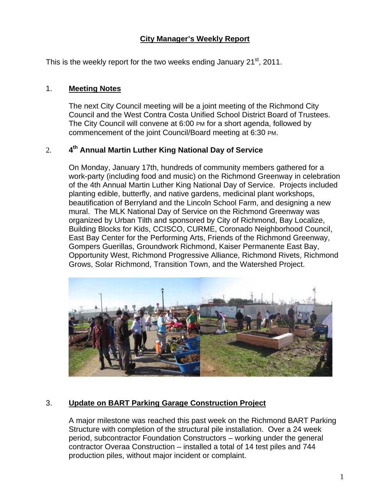## **City Manager's Weekly Report**

This is the weekly report for the two weeks ending January  $21<sup>st</sup>$ , 2011.

## 1. **Meeting Notes**

The next City Council meeting will be a joint meeting of the Richmond City Council and the West Contra Costa Unified School District Board of Trustees. The City Council will convene at 6:00 PM for a short agenda, followed by commencement of the joint Council/Board meeting at 6:30 PM.

## 2. **4th Annual Martin Luther King National Day of Service**

On Monday, January 17th, hundreds of community members gathered for a work-party (including food and music) on the Richmond Greenway in celebration of the 4th Annual Martin Luther King National Day of Service. Projects included planting edible, butterfly, and native gardens, medicinal plant workshops, beautification of Berryland and the Lincoln School Farm, and designing a new mural. The MLK National Day of Service on the Richmond Greenway was organized by Urban Tilth and sponsored by City of Richmond, Bay Localize, Building Blocks for Kids, CCISCO, CURME, Coronado Neighborhood Council, East Bay Center for the Performing Arts, Friends of the Richmond Greenway, Gompers Guerillas, Groundwork Richmond, Kaiser Permanente East Bay, Opportunity West, Richmond Progressive Alliance, Richmond Rivets, Richmond Grows, Solar Richmond, Transition Town, and the Watershed Project.



# 3. **Update on BART Parking Garage Construction Project**

A major milestone was reached this past week on the Richmond BART Parking Structure with completion of the structural pile installation. Over a 24 week period, subcontractor Foundation Constructors – working under the general contractor Overaa Construction – installed a total of 14 test piles and 744 production piles, without major incident or complaint.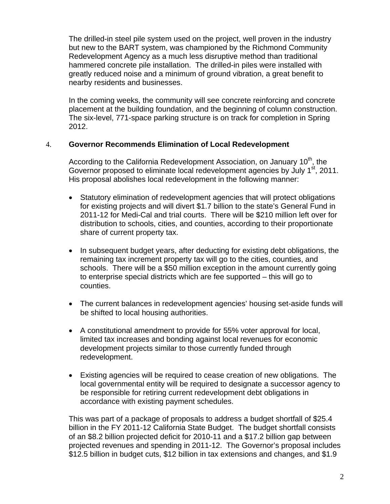The drilled-in steel pile system used on the project, well proven in the industry but new to the BART system, was championed by the Richmond Community Redevelopment Agency as a much less disruptive method than traditional hammered concrete pile installation. The drilled-in piles were installed with greatly reduced noise and a minimum of ground vibration, a great benefit to nearby residents and businesses.

In the coming weeks, the community will see concrete reinforcing and concrete placement at the building foundation, and the beginning of column construction. The six-level, 771-space parking structure is on track for completion in Spring 2012.

#### 4. **Governor Recommends Elimination of Local Redevelopment**

According to the California Redevelopment Association, on January 10<sup>th</sup>, the Governor proposed to eliminate local redevelopment agencies by July 1<sup>st</sup>, 2011. His proposal abolishes local redevelopment in the following manner:

- Statutory elimination of redevelopment agencies that will protect obligations for existing projects and will divert \$1.7 billion to the state's General Fund in 2011-12 for Medi-Cal and trial courts. There will be \$210 million left over for distribution to schools, cities, and counties, according to their proportionate share of current property tax.
- In subsequent budget years, after deducting for existing debt obligations, the remaining tax increment property tax will go to the cities, counties, and schools. There will be a \$50 million exception in the amount currently going to enterprise special districts which are fee supported – this will go to counties.
- The current balances in redevelopment agencies' housing set-aside funds will be shifted to local housing authorities.
- A constitutional amendment to provide for 55% voter approval for local, limited tax increases and bonding against local revenues for economic development projects similar to those currently funded through redevelopment.
- Existing agencies will be required to cease creation of new obligations. The local governmental entity will be required to designate a successor agency to be responsible for retiring current redevelopment debt obligations in accordance with existing payment schedules.

This was part of a package of proposals to address a budget shortfall of \$25.4 billion in the FY 2011-12 California State Budget. The budget shortfall consists of an \$8.2 billion projected deficit for 2010-11 and a \$17.2 billion gap between projected revenues and spending in 2011-12. The Governor's proposal includes \$12.5 billion in budget cuts, \$12 billion in tax extensions and changes, and \$1.9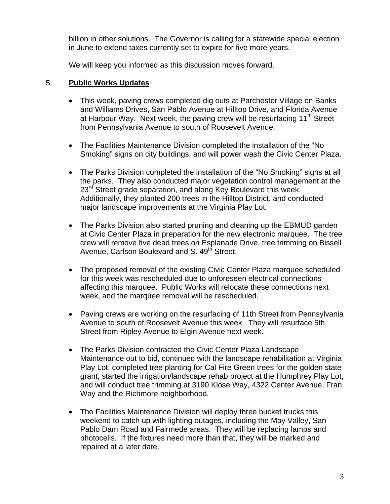billion in other solutions. The Governor is calling for a statewide special election in June to extend taxes currently set to expire for five more years.

We will keep you informed as this discussion moves forward.

#### 5. **Public Works Updates**

- This week, paving crews completed dig outs at Parchester Village on Banks and Williams Drives, San Pablo Avenue at Hilltop Drive, and Florida Avenue at Harbour Way. Next week, the paving crew will be resurfacing  $11<sup>th</sup>$  Street from Pennsylvania Avenue to south of Roosevelt Avenue.
- The Facilities Maintenance Division completed the installation of the "No Smoking" signs on city buildings, and will power wash the Civic Center Plaza.
- The Parks Division completed the installation of the "No Smoking" signs at all the parks. They also conducted major vegetation control management at the 23<sup>rd</sup> Street grade separation, and along Key Boulevard this week. Additionally, they planted 200 trees in the Hilltop District, and conducted major landscape improvements at the Virginia Play Lot.
- The Parks Division also started pruning and cleaning up the EBMUD garden at Civic Center Plaza in preparation for the new electronic marquee. The tree crew will remove five dead trees on Esplanade Drive, tree trimming on Bissell Avenue, Carlson Boulevard and S. 49<sup>th</sup> Street.
- The proposed removal of the existing Civic Center Plaza marquee scheduled for this week was rescheduled due to unforeseen electrical connections affecting this marquee. Public Works will relocate these connections next week, and the marquee removal will be rescheduled.
- Paving crews are working on the resurfacing of 11th Street from Pennsylvania Avenue to south of Roosevelt Avenue this week. They will resurface 5th Street from Ripley Avenue to Elgin Avenue next week.
- The Parks Division contracted the Civic Center Plaza Landscape Maintenance out to bid, continued with the landscape rehabilitation at Virginia Play Lot, completed tree planting for Cal Fire Green trees for the golden state grant, started the irrigation/landscape rehab project at the Humphrey Play Lot, and will conduct tree trimming at 3190 Klose Way, 4322 Center Avenue, Fran Way and the Richmore neighborhood.
- The Facilities Maintenance Division will deploy three bucket trucks this weekend to catch up with lighting outages, including the May Valley, San Pablo Dam Road and Fairmede areas. They will be replacing lamps and photocells. If the fixtures need more than that, they will be marked and repaired at a later date.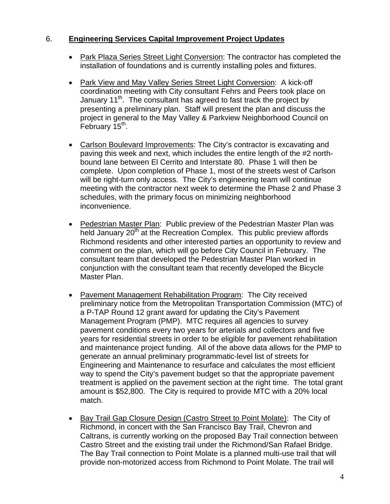#### 6. **Engineering Services Capital Improvement Project Updates**

- Park Plaza Series Street Light Conversion: The contractor has completed the installation of foundations and is currently installing poles and fixtures.
- Park View and May Valley Series Street Light Conversion: A kick-off coordination meeting with City consultant Fehrs and Peers took place on January  $11<sup>th</sup>$ . The consultant has agreed to fast track the project by presenting a preliminary plan. Staff will present the plan and discuss the project in general to the May Valley & Parkview Neighborhood Council on February 15<sup>th</sup>.
- Carlson Boulevard Improvements: The City's contractor is excavating and paving this week and next, which includes the entire length of the #2 northbound lane between El Cerrito and Interstate 80. Phase 1 will then be complete. Upon completion of Phase 1, most of the streets west of Carlson will be right-turn only access. The City's engineering team will continue meeting with the contractor next week to determine the Phase 2 and Phase 3 schedules, with the primary focus on minimizing neighborhood inconvenience.
- Pedestrian Master Plan: Public preview of the Pedestrian Master Plan was held January  $20<sup>th</sup>$  at the Recreation Complex. This public preview affords Richmond residents and other interested parties an opportunity to review and comment on the plan, which will go before City Council in February. The consultant team that developed the Pedestrian Master Plan worked in conjunction with the consultant team that recently developed the Bicycle Master Plan.
- Pavement Management Rehabilitation Program:The City received preliminary notice from the Metropolitan Transportation Commission (MTC) of a P-TAP Round 12 grant award for updating the City's Pavement Management Program (PMP). MTC requires all agencies to survey pavement conditions every two years for arterials and collectors and five years for residential streets in order to be eligible for pavement rehabilitation and maintenance project funding. All of the above data allows for the PMP to generate an annual preliminary programmatic-level list of streets for Engineering and Maintenance to resurface and calculates the most efficient way to spend the City's pavement budget so that the appropriate pavement treatment is applied on the pavement section at the right time. The total grant amount is \$52,800. The City is required to provide MTC with a 20% local match.
- Bay Trail Gap Closure Design (Castro Street to Point Molate):The City of Richmond, in concert with the San Francisco Bay Trail, Chevron and Caltrans, is currently working on the proposed Bay Trail connection between Castro Street and the existing trail under the Richmond/San Rafael Bridge. The Bay Trail connection to Point Molate is a planned multi-use trail that will provide non-motorized access from Richmond to Point Molate. The trail will